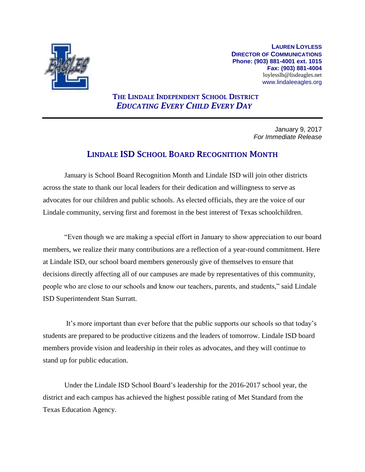

**LAUREN LOYLESS DIRECTOR OF COMMUNICATIONS Phone: (903) 881-4001 ext. 1015 Fax: (903) 881-4004** loylesslh@lisdeagles.net www.lindaleeagles.org

# **THE LINDALE INDEPENDENT SCHOOL DISTRICT** *EDUCATING EVERY CHILD EVERY DAY*

January 9, 2017 *For Immediate Release*

# **LINDALE ISD SCHOOL BOARD RECOGNITION MONTH**

January is School Board Recognition Month and Lindale ISD will join other districts across the state to thank our local leaders for their dedication and willingness to serve as advocates for our children and public schools. As elected officials, they are the voice of our Lindale community, serving first and foremost in the best interest of Texas schoolchildren.

"Even though we are making a special effort in January to show appreciation to our board members, we realize their many contributions are a reflection of a year-round commitment. Here at Lindale ISD, our school board members generously give of themselves to ensure that decisions directly affecting all of our campuses are made by representatives of this community, people who are close to our schools and know our teachers, parents, and students," said Lindale ISD Superintendent Stan Surratt.

It's more important than ever before that the public supports our schools so that today's students are prepared to be productive citizens and the leaders of tomorrow. Lindale ISD board members provide vision and leadership in their roles as advocates, and they will continue to stand up for public education.

Under the Lindale ISD School Board's leadership for the 2016-2017 school year, the district and each campus has achieved the highest possible rating of Met Standard from the Texas Education Agency.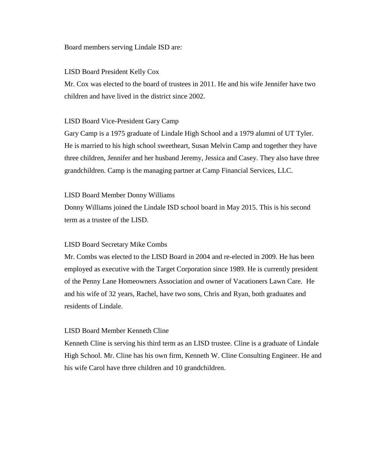Board members serving Lindale ISD are:

#### LISD Board President Kelly Cox

Mr. Cox was elected to the board of trustees in 2011. He and his wife Jennifer have two children and have lived in the district since 2002.

## LISD Board Vice-President Gary Camp

Gary Camp is a 1975 graduate of Lindale High School and a 1979 alumni of UT Tyler. He is married to his high school sweetheart, Susan Melvin Camp and together they have three children, Jennifer and her husband Jeremy, Jessica and Casey. They also have three grandchildren. Camp is the managing partner at Camp Financial Services, LLC.

#### LISD Board Member Donny Williams

Donny Williams joined the Lindale ISD school board in May 2015. This is his second term as a trustee of the LISD.

#### LISD Board Secretary Mike Combs

Mr. Combs was elected to the LISD Board in 2004 and re-elected in 2009. He has been employed as executive with the Target Corporation since 1989. He is currently president of the Penny Lane Homeowners Association and owner of Vacationers Lawn Care. He and his wife of 32 years, Rachel, have two sons, Chris and Ryan, both graduates and residents of Lindale.

## LISD Board Member Kenneth Cline

Kenneth Cline is serving his third term as an LISD trustee. Cline is a graduate of Lindale High School. Mr. Cline has his own firm, Kenneth W. Cline Consulting Engineer. He and his wife Carol have three children and 10 grandchildren.